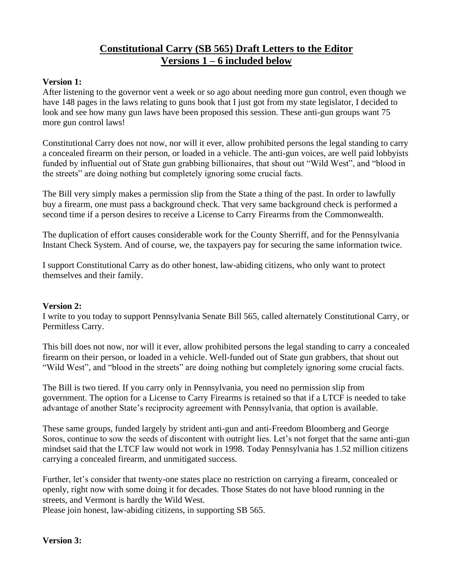# **Constitutional Carry (SB 565) Draft Letters to the Editor Versions 1 – 6 included below**

#### **Version 1:**

After listening to the governor vent a week or so ago about needing more gun control, even though we have 148 pages in the laws relating to guns book that I just got from my state legislator, I decided to look and see how many gun laws have been proposed this session. These anti-gun groups want 75 more gun control laws!

Constitutional Carry does not now, nor will it ever, allow prohibited persons the legal standing to carry a concealed firearm on their person, or loaded in a vehicle. The anti-gun voices, are well paid lobbyists funded by influential out of State gun grabbing billionaires, that shout out "Wild West", and "blood in the streets" are doing nothing but completely ignoring some crucial facts.

The Bill very simply makes a permission slip from the State a thing of the past. In order to lawfully buy a firearm, one must pass a background check. That very same background check is performed a second time if a person desires to receive a License to Carry Firearms from the Commonwealth.

The duplication of effort causes considerable work for the County Sherriff, and for the Pennsylvania Instant Check System. And of course, we, the taxpayers pay for securing the same information twice.

I support Constitutional Carry as do other honest, law-abiding citizens, who only want to protect themselves and their family.

#### **Version 2:**

I write to you today to support Pennsylvania Senate Bill 565, called alternately Constitutional Carry, or Permitless Carry.

This bill does not now, nor will it ever, allow prohibited persons the legal standing to carry a concealed firearm on their person, or loaded in a vehicle. Well-funded out of State gun grabbers, that shout out "Wild West", and "blood in the streets" are doing nothing but completely ignoring some crucial facts.

The Bill is two tiered. If you carry only in Pennsylvania, you need no permission slip from government. The option for a License to Carry Firearms is retained so that if a LTCF is needed to take advantage of another State's reciprocity agreement with Pennsylvania, that option is available.

These same groups, funded largely by strident anti-gun and anti-Freedom Bloomberg and George Soros, continue to sow the seeds of discontent with outright lies. Let's not forget that the same anti-gun mindset said that the LTCF law would not work in 1998. Today Pennsylvania has 1.52 million citizens carrying a concealed firearm, and unmitigated success.

Further, let's consider that twenty-one states place no restriction on carrying a firearm, concealed or openly, right now with some doing it for decades. Those States do not have blood running in the streets, and Vermont is hardly the Wild West.

Please join honest, law-abiding citizens, in supporting SB 565.

# **Version 3:**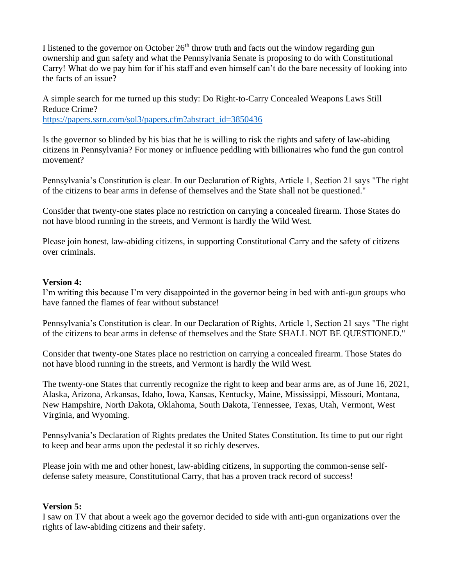I listened to the governor on October  $26<sup>th</sup>$  throw truth and facts out the window regarding gun ownership and gun safety and what the Pennsylvania Senate is proposing to do with Constitutional Carry! What do we pay him for if his staff and even himself can't do the bare necessity of looking into the facts of an issue?

A simple search for me turned up this study: Do Right-to-Carry Concealed Weapons Laws Still Reduce Crime?

[https://papers.ssrn.com/sol3/papers.cfm?abstract\\_id=3850436](https://papers.ssrn.com/sol3/papers.cfm?abstract_id=3850436)

Is the governor so blinded by his bias that he is willing to risk the rights and safety of law-abiding citizens in Pennsylvania? For money or influence peddling with billionaires who fund the gun control movement?

Pennsylvania's Constitution is clear. In our Declaration of Rights, Article 1, Section 21 says "The right of the citizens to bear arms in defense of themselves and the State shall not be questioned."

Consider that twenty-one states place no restriction on carrying a concealed firearm. Those States do not have blood running in the streets, and Vermont is hardly the Wild West.

Please join honest, law-abiding citizens, in supporting Constitutional Carry and the safety of citizens over criminals.

#### **Version 4:**

I'm writing this because I'm very disappointed in the governor being in bed with anti-gun groups who have fanned the flames of fear without substance!

Pennsylvania's Constitution is clear. In our Declaration of Rights, Article 1, Section 21 says "The right of the citizens to bear arms in defense of themselves and the State SHALL NOT BE QUESTIONED."

Consider that twenty-one States place no restriction on carrying a concealed firearm. Those States do not have blood running in the streets, and Vermont is hardly the Wild West.

The twenty-one States that currently recognize the right to keep and bear arms are, as of June 16, 2021, Alaska, Arizona, Arkansas, Idaho, Iowa, Kansas, Kentucky, Maine, Mississippi, Missouri, Montana, New Hampshire, North Dakota, Oklahoma, South Dakota, Tennessee, Texas, Utah, Vermont, West Virginia, and Wyoming.

Pennsylvania's Declaration of Rights predates the United States Constitution. Its time to put our right to keep and bear arms upon the pedestal it so richly deserves.

Please join with me and other honest, law-abiding citizens, in supporting the common-sense selfdefense safety measure, Constitutional Carry, that has a proven track record of success!

# **Version 5:**

I saw on TV that about a week ago the governor decided to side with anti-gun organizations over the rights of law-abiding citizens and their safety.